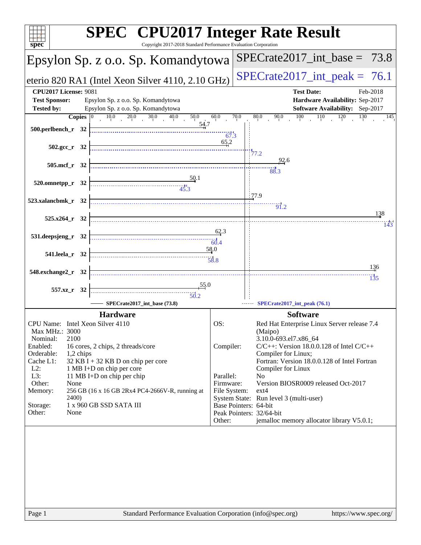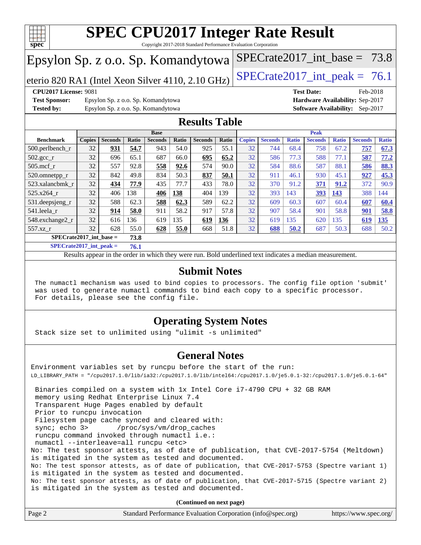![](_page_1_Picture_0.jpeg)

Copyright 2017-2018 Standard Performance Evaluation Corporation

### Epsylon Sp. z o.o. Sp. Komandytowa

eterio 820 RA1 (Intel Xeon Silver 4110, 2.10 GHz) SPECrate  $2017$ \_int\_peak = 76.1

SPECrate2017 int\_base =  $73.8$ 

**[Test Sponsor:](http://www.spec.org/auto/cpu2017/Docs/result-fields.html#TestSponsor)** Epsylon Sp. z o.o. Sp. Komandytowa **[Hardware Availability:](http://www.spec.org/auto/cpu2017/Docs/result-fields.html#HardwareAvailability)** Sep-2017 **[Tested by:](http://www.spec.org/auto/cpu2017/Docs/result-fields.html#Testedby)** Epsylon Sp. z o.o. Sp. Komandytowa **[Software Availability:](http://www.spec.org/auto/cpu2017/Docs/result-fields.html#SoftwareAvailability)** Sep-2017

**[CPU2017 License:](http://www.spec.org/auto/cpu2017/Docs/result-fields.html#CPU2017License)** 9081 **[Test Date:](http://www.spec.org/auto/cpu2017/Docs/result-fields.html#TestDate)** Feb-2018

### **[Results Table](http://www.spec.org/auto/cpu2017/Docs/result-fields.html#ResultsTable)**

|                    | <b>Base</b>                       |                |       |                |       | <b>Peak</b>    |       |               |                |              |                |              |                |              |
|--------------------|-----------------------------------|----------------|-------|----------------|-------|----------------|-------|---------------|----------------|--------------|----------------|--------------|----------------|--------------|
| <b>Benchmark</b>   | <b>Copies</b>                     | <b>Seconds</b> | Ratio | <b>Seconds</b> | Ratio | <b>Seconds</b> | Ratio | <b>Copies</b> | <b>Seconds</b> | <b>Ratio</b> | <b>Seconds</b> | <b>Ratio</b> | <b>Seconds</b> | <b>Ratio</b> |
| $500.$ perlbench_r | 32                                | 931            | 54.7  | 943            | 54.0  | 925            | 55.1  | 32            | 744            | 68.4         | 758            | 67.2         | 757            | 67.3         |
| 502.gcc_r          | 32                                | 696            | 65.1  | 687            | 66.0  | 695            | 65.2  | 32            | 586            | 77.3         | 588            | 77.1         | 587            | 77.2         |
| $505$ .mcf r       | 32                                | 557            | 92.8  | 558            | 92.6  | 574            | 90.0  | 32            | 584            | 88.6         | 587            | 88.1         | 586            | 88.3         |
| 520.omnetpp_r      | 32                                | 842            | 49.8  | 834            | 50.3  | 837            | 50.1  | 32            | 911            | 46.1         | 930            | 45.1         | 927            | 45.3         |
| 523.xalancbmk r    | 32                                | 434            | 77.9  | 435            | 77.7  | 433            | 78.0  | 32            | 370            | 91.2         | 371            | 91.2         | 372            | 90.9         |
| 525.x264 r         | 32                                | 406            | 138   | 406            | 138   | 404            | 139   | 32            | 393            | 143          | 393            | 143          | 388            | 144          |
| 531.deepsjeng_r    | 32                                | 588            | 62.3  | 588            | 62.3  | 589            | 62.2  | 32            | 609            | 60.3         | 607            | 60.4         | 607            | 60.4         |
| 541.leela r        | 32                                | 914            | 58.0  | 911            | 58.2  | 917            | 57.8  | 32            | 907            | 58.4         | 901            | 58.8         | 901            | 58.8         |
| 548.exchange2_r    | 32                                | 616            | 136   | 619            | 135   | 619            | 136   | 32            | 619            | 135          | 620            | 135          | 619            | 135          |
| 557.xz r           | 32                                | 628            | 55.0  | 628            | 55.0  | 668            | 51.8  | 32            | 688            | 50.2         | 687            | 50.3         | 688            | 50.2         |
|                    | $SPECrate2017$ int base =<br>73.8 |                |       |                |       |                |       |               |                |              |                |              |                |              |

**[SPECrate2017\\_int\\_peak =](http://www.spec.org/auto/cpu2017/Docs/result-fields.html#SPECrate2017intpeak) 76.1**

Results appear in the [order in which they were run.](http://www.spec.org/auto/cpu2017/Docs/result-fields.html#RunOrder) Bold underlined text [indicates a median measurement.](http://www.spec.org/auto/cpu2017/Docs/result-fields.html#Median)

### **[Submit Notes](http://www.spec.org/auto/cpu2017/Docs/result-fields.html#SubmitNotes)**

 The numactl mechanism was used to bind copies to processors. The config file option 'submit' was used to generate numactl commands to bind each copy to a specific processor. For details, please see the config file.

### **[Operating System Notes](http://www.spec.org/auto/cpu2017/Docs/result-fields.html#OperatingSystemNotes)**

Stack size set to unlimited using "ulimit -s unlimited"

### **[General Notes](http://www.spec.org/auto/cpu2017/Docs/result-fields.html#GeneralNotes)**

Environment variables set by runcpu before the start of the run: LD\_LIBRARY\_PATH = "/cpu2017.1.0/lib/ia32:/cpu2017.1.0/lib/intel64:/cpu2017.1.0/je5.0.1-32:/cpu2017.1.0/je5.0.1-64" Binaries compiled on a system with 1x Intel Core i7-4790 CPU + 32 GB RAM memory using Redhat Enterprise Linux 7.4 Transparent Huge Pages enabled by default Prior to runcpu invocation Filesystem page cache synced and cleared with: sync; echo 3> /proc/sys/vm/drop\_caches runcpu command invoked through numactl i.e.: numactl --interleave=all runcpu <etc> No: The test sponsor attests, as of date of publication, that CVE-2017-5754 (Meltdown) is mitigated in the system as tested and documented. No: The test sponsor attests, as of date of publication, that CVE-2017-5753 (Spectre variant 1) is mitigated in the system as tested and documented. No: The test sponsor attests, as of date of publication, that CVE-2017-5715 (Spectre variant 2) is mitigated in the system as tested and documented.

**(Continued on next page)**

| Page 2 | Standard Performance Evaluation Corporation (info@spec.org) | https://www.spec.org/ |
|--------|-------------------------------------------------------------|-----------------------|
|--------|-------------------------------------------------------------|-----------------------|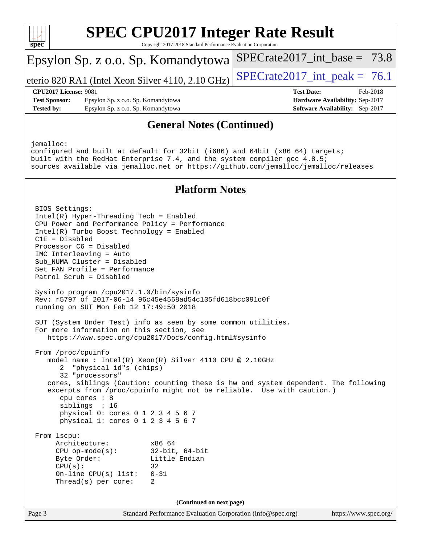![](_page_2_Picture_0.jpeg)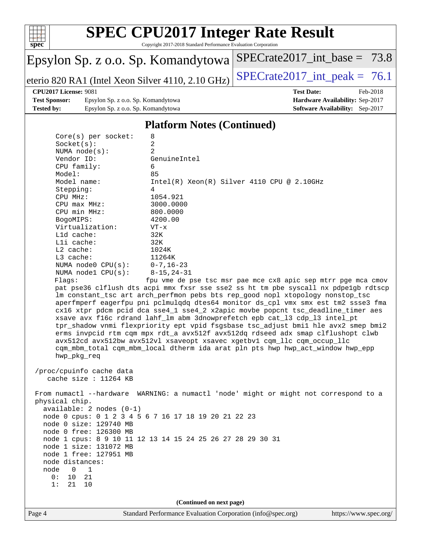![](_page_3_Picture_0.jpeg)

Copyright 2017-2018 Standard Performance Evaluation Corporation

### Epsylon Sp. z o.o. Sp. Komandytowa

eterio 820 RA1 (Intel Xeon Silver 4110, 2.10 GHz) [SPECrate2017\\_int\\_peak =](http://www.spec.org/auto/cpu2017/Docs/result-fields.html#SPECrate2017intpeak) 76.1

[SPECrate2017\\_int\\_base =](http://www.spec.org/auto/cpu2017/Docs/result-fields.html#SPECrate2017intbase) 73.8

### **[CPU2017 License:](http://www.spec.org/auto/cpu2017/Docs/result-fields.html#CPU2017License)** 9081 **[Test Date:](http://www.spec.org/auto/cpu2017/Docs/result-fields.html#TestDate)** Feb-2018

**[Test Sponsor:](http://www.spec.org/auto/cpu2017/Docs/result-fields.html#TestSponsor)** Epsylon Sp. z o.o. Sp. Komandytowa **[Hardware Availability:](http://www.spec.org/auto/cpu2017/Docs/result-fields.html#HardwareAvailability)** Sep-2017 **[Tested by:](http://www.spec.org/auto/cpu2017/Docs/result-fields.html#Testedby)** Epsylon Sp. z o.o. Sp. Komandytowa **[Software Availability:](http://www.spec.org/auto/cpu2017/Docs/result-fields.html#SoftwareAvailability)** Sep-2017

### **[Platform Notes \(Continued\)](http://www.spec.org/auto/cpu2017/Docs/result-fields.html#PlatformNotes)**

| $Core(s)$ per socket:                                                                                                                                                                                                    | 8                                                                                                                                                                                                                                                                                                                                                                                                                                                                                                                                                                                                                                                                                                                                                                                                                                  |
|--------------------------------------------------------------------------------------------------------------------------------------------------------------------------------------------------------------------------|------------------------------------------------------------------------------------------------------------------------------------------------------------------------------------------------------------------------------------------------------------------------------------------------------------------------------------------------------------------------------------------------------------------------------------------------------------------------------------------------------------------------------------------------------------------------------------------------------------------------------------------------------------------------------------------------------------------------------------------------------------------------------------------------------------------------------------|
| Socket(s):                                                                                                                                                                                                               | $\overline{2}$                                                                                                                                                                                                                                                                                                                                                                                                                                                                                                                                                                                                                                                                                                                                                                                                                     |
| NUMA $node(s):$                                                                                                                                                                                                          | $\overline{a}$                                                                                                                                                                                                                                                                                                                                                                                                                                                                                                                                                                                                                                                                                                                                                                                                                     |
| Vendor ID:                                                                                                                                                                                                               | GenuineIntel                                                                                                                                                                                                                                                                                                                                                                                                                                                                                                                                                                                                                                                                                                                                                                                                                       |
| CPU family:                                                                                                                                                                                                              | 6                                                                                                                                                                                                                                                                                                                                                                                                                                                                                                                                                                                                                                                                                                                                                                                                                                  |
| Model:                                                                                                                                                                                                                   | 85                                                                                                                                                                                                                                                                                                                                                                                                                                                                                                                                                                                                                                                                                                                                                                                                                                 |
| Model name:                                                                                                                                                                                                              | $Intel(R)$ Xeon $(R)$ Silver 4110 CPU @ 2.10GHz                                                                                                                                                                                                                                                                                                                                                                                                                                                                                                                                                                                                                                                                                                                                                                                    |
| Stepping:                                                                                                                                                                                                                | 4                                                                                                                                                                                                                                                                                                                                                                                                                                                                                                                                                                                                                                                                                                                                                                                                                                  |
| CPU MHz:                                                                                                                                                                                                                 | 1054.921                                                                                                                                                                                                                                                                                                                                                                                                                                                                                                                                                                                                                                                                                                                                                                                                                           |
| $CPU$ $max$ $MHz$ :                                                                                                                                                                                                      | 3000.0000                                                                                                                                                                                                                                                                                                                                                                                                                                                                                                                                                                                                                                                                                                                                                                                                                          |
| CPU min MHz:                                                                                                                                                                                                             | 800.0000                                                                                                                                                                                                                                                                                                                                                                                                                                                                                                                                                                                                                                                                                                                                                                                                                           |
| BogoMIPS:                                                                                                                                                                                                                | 4200.00                                                                                                                                                                                                                                                                                                                                                                                                                                                                                                                                                                                                                                                                                                                                                                                                                            |
| Virtualization:                                                                                                                                                                                                          | $VT - x$                                                                                                                                                                                                                                                                                                                                                                                                                                                                                                                                                                                                                                                                                                                                                                                                                           |
| L1d cache:                                                                                                                                                                                                               | 32K                                                                                                                                                                                                                                                                                                                                                                                                                                                                                                                                                                                                                                                                                                                                                                                                                                |
| Lli cache:                                                                                                                                                                                                               | 32K                                                                                                                                                                                                                                                                                                                                                                                                                                                                                                                                                                                                                                                                                                                                                                                                                                |
| $L2$ cache:                                                                                                                                                                                                              | 1024K                                                                                                                                                                                                                                                                                                                                                                                                                                                                                                                                                                                                                                                                                                                                                                                                                              |
| L3 cache:                                                                                                                                                                                                                | 11264K                                                                                                                                                                                                                                                                                                                                                                                                                                                                                                                                                                                                                                                                                                                                                                                                                             |
| NUMA $node0$ $CPU(s):$                                                                                                                                                                                                   | $0 - 7$ , 16-23                                                                                                                                                                                                                                                                                                                                                                                                                                                                                                                                                                                                                                                                                                                                                                                                                    |
| NUMA node1 $CPU(s): 8-15, 24-31$<br>Flags:<br>hwp_pkg_req                                                                                                                                                                | fpu vme de pse tsc msr pae mce cx8 apic sep mtrr pge mca cmov<br>pat pse36 clflush dts acpi mmx fxsr sse sse2 ss ht tm pbe syscall nx pdpelgb rdtscp<br>lm constant_tsc art arch_perfmon pebs bts rep_good nopl xtopology nonstop_tsc<br>aperfmperf eagerfpu pni pclmulqdq dtes64 monitor ds_cpl vmx smx est tm2 ssse3 fma<br>cx16 xtpr pdcm pcid dca sse4_1 sse4_2 x2apic movbe popcnt tsc_deadline_timer aes<br>xsave avx f16c rdrand lahf_lm abm 3dnowprefetch epb cat_13 cdp_13 intel_pt<br>tpr_shadow vnmi flexpriority ept vpid fsgsbase tsc_adjust bmil hle avx2 smep bmi2<br>erms invpcid rtm cqm mpx rdt_a avx512f avx512dq rdseed adx smap clflushopt clwb<br>avx512cd avx512bw avx512vl xsaveopt xsavec xgetbv1 cqm_llc cqm_occup_llc<br>cqm_mbm_total cqm_mbm_local dtherm ida arat pln pts hwp hwp_act_window hwp_epp |
| /proc/cpuinfo cache data<br>cache size : $11264$ KB                                                                                                                                                                      |                                                                                                                                                                                                                                                                                                                                                                                                                                                                                                                                                                                                                                                                                                                                                                                                                                    |
| physical chip.<br>$available: 2 nodes (0-1)$<br>node 0 size: 129740 MB<br>node 0 free: 126300 MB<br>node 1 size: 131072 MB<br>node 1 free: 127951 MB<br>node distances:<br>node<br>$0\qquad1$<br>0: 10 21<br>21 10<br>1: | From numactl --hardware WARNING: a numactl 'node' might or might not correspond to a<br>node 0 cpus: 0 1 2 3 4 5 6 7 16 17 18 19 20 21 22 23<br>node 1 cpus: 8 9 10 11 12 13 14 15 24 25 26 27 28 29 30 31                                                                                                                                                                                                                                                                                                                                                                                                                                                                                                                                                                                                                         |

**(Continued on next page)**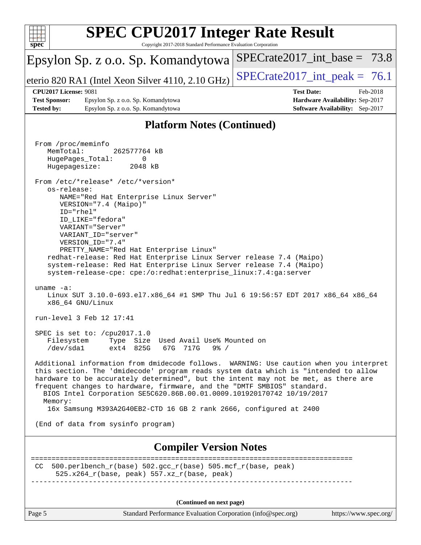![](_page_4_Picture_0.jpeg)

**(Continued on next page)**

Page 5 Standard Performance Evaluation Corporation [\(info@spec.org\)](mailto:info@spec.org) <https://www.spec.org/>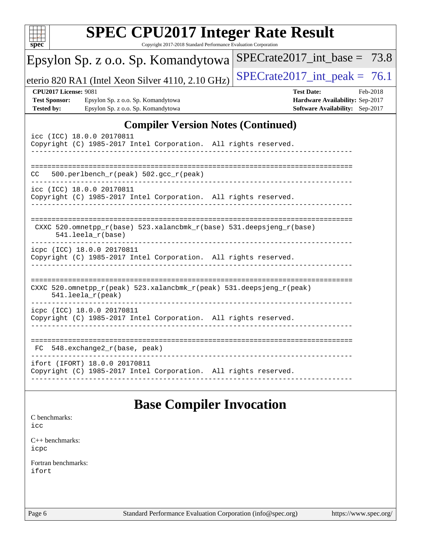| <b>SPEC CPU2017 Integer Rate Result</b><br>Copyright 2017-2018 Standard Performance Evaluation Corporation<br>$spec^*$                                |                                                                                                     |  |  |  |  |  |
|-------------------------------------------------------------------------------------------------------------------------------------------------------|-----------------------------------------------------------------------------------------------------|--|--|--|--|--|
| Epsylon Sp. z o.o. Sp. Komandytowa                                                                                                                    | $SPECrate2017\_int\_base = 73.8$                                                                    |  |  |  |  |  |
| eterio 820 RA1 (Intel Xeon Silver 4110, 2.10 GHz)                                                                                                     | $SPECrate2017\_int\_peak = 76.1$                                                                    |  |  |  |  |  |
| <b>CPU2017 License: 9081</b><br><b>Test Sponsor:</b><br>Epsylon Sp. z o.o. Sp. Komandytowa<br><b>Tested by:</b><br>Epsylon Sp. z o.o. Sp. Komandytowa | <b>Test Date:</b><br>Feb-2018<br>Hardware Availability: Sep-2017<br>Software Availability: Sep-2017 |  |  |  |  |  |
| <b>Compiler Version Notes (Continued)</b><br>icc (ICC) 18.0.0 20170811<br>Copyright (C) 1985-2017 Intel Corporation. All rights reserved.             |                                                                                                     |  |  |  |  |  |
| 500.perlbench_r(peak) 502.gcc_r(peak)<br>CC.                                                                                                          | -----------------------------------                                                                 |  |  |  |  |  |
| icc (ICC) 18.0.0 20170811<br>Copyright (C) 1985-2017 Intel Corporation. All rights reserved.                                                          |                                                                                                     |  |  |  |  |  |
| CXXC 520.omnetpp_r(base) 523.xalancbmk_r(base) 531.deepsjeng_r(base)<br>$541.$ leela_r(base)                                                          |                                                                                                     |  |  |  |  |  |
| icpc (ICC) 18.0.0 20170811<br>Copyright (C) 1985-2017 Intel Corporation. All rights reserved.                                                         |                                                                                                     |  |  |  |  |  |
| CXXC 520.omnetpp_r(peak) 523.xalancbmk_r(peak) 531.deepsjeng_r(peak)<br>541.leela_r(peak)                                                             |                                                                                                     |  |  |  |  |  |
| icpc (ICC) 18.0.0 20170811<br>Copyright (C) 1985-2017 Intel Corporation. All rights reserved.                                                         |                                                                                                     |  |  |  |  |  |
| 548.exchange2_r(base, peak)<br>FC                                                                                                                     |                                                                                                     |  |  |  |  |  |
| ifort (IFORT) 18.0.0 20170811<br>Copyright (C) 1985-2017 Intel Corporation. All rights reserved.                                                      |                                                                                                     |  |  |  |  |  |
| <b>Base Compiler Invocation</b><br>C benchmarks:<br>icc                                                                                               |                                                                                                     |  |  |  |  |  |

[C++ benchmarks:](http://www.spec.org/auto/cpu2017/Docs/result-fields.html#CXXbenchmarks) [icpc](http://www.spec.org/cpu2017/results/res2018q1/cpu2017-20180216-03602.flags.html#user_CXXbase_intel_icpc_18.0_c510b6838c7f56d33e37e94d029a35b4a7bccf4766a728ee175e80a419847e808290a9b78be685c44ab727ea267ec2f070ec5dc83b407c0218cded6866a35d07)

[Fortran benchmarks](http://www.spec.org/auto/cpu2017/Docs/result-fields.html#Fortranbenchmarks): [ifort](http://www.spec.org/cpu2017/results/res2018q1/cpu2017-20180216-03602.flags.html#user_FCbase_intel_ifort_18.0_8111460550e3ca792625aed983ce982f94888b8b503583aa7ba2b8303487b4d8a21a13e7191a45c5fd58ff318f48f9492884d4413fa793fd88dd292cad7027ca)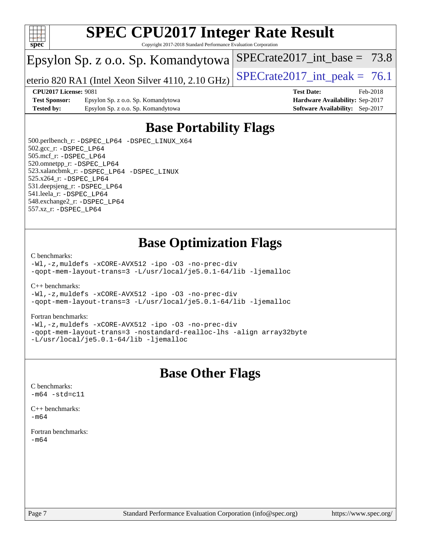![](_page_6_Picture_0.jpeg)

Copyright 2017-2018 Standard Performance Evaluation Corporation

### Epsylon Sp. z o.o. Sp. Komandytowa

eterio 820 RA1 (Intel Xeon Silver 4110, 2.10 GHz)  $\left|$  SPECrate 2017 int peak = 76.1

SPECrate2017 int\_base =  $73.8$ 

**[CPU2017 License:](http://www.spec.org/auto/cpu2017/Docs/result-fields.html#CPU2017License)** 9081 **[Test Date:](http://www.spec.org/auto/cpu2017/Docs/result-fields.html#TestDate)** Feb-2018

**[Test Sponsor:](http://www.spec.org/auto/cpu2017/Docs/result-fields.html#TestSponsor)** Epsylon Sp. z o.o. Sp. Komandytowa **[Hardware Availability:](http://www.spec.org/auto/cpu2017/Docs/result-fields.html#HardwareAvailability)** Sep-2017 **[Tested by:](http://www.spec.org/auto/cpu2017/Docs/result-fields.html#Testedby)** Epsylon Sp. z o.o. Sp. Komandytowa **[Software Availability:](http://www.spec.org/auto/cpu2017/Docs/result-fields.html#SoftwareAvailability)** Sep-2017

### **[Base Portability Flags](http://www.spec.org/auto/cpu2017/Docs/result-fields.html#BasePortabilityFlags)**

 500.perlbench\_r: [-DSPEC\\_LP64](http://www.spec.org/cpu2017/results/res2018q1/cpu2017-20180216-03602.flags.html#b500.perlbench_r_basePORTABILITY_DSPEC_LP64) [-DSPEC\\_LINUX\\_X64](http://www.spec.org/cpu2017/results/res2018q1/cpu2017-20180216-03602.flags.html#b500.perlbench_r_baseCPORTABILITY_DSPEC_LINUX_X64) 502.gcc\_r: [-DSPEC\\_LP64](http://www.spec.org/cpu2017/results/res2018q1/cpu2017-20180216-03602.flags.html#suite_basePORTABILITY502_gcc_r_DSPEC_LP64) 505.mcf\_r: [-DSPEC\\_LP64](http://www.spec.org/cpu2017/results/res2018q1/cpu2017-20180216-03602.flags.html#suite_basePORTABILITY505_mcf_r_DSPEC_LP64) 520.omnetpp\_r: [-DSPEC\\_LP64](http://www.spec.org/cpu2017/results/res2018q1/cpu2017-20180216-03602.flags.html#suite_basePORTABILITY520_omnetpp_r_DSPEC_LP64) 523.xalancbmk\_r: [-DSPEC\\_LP64](http://www.spec.org/cpu2017/results/res2018q1/cpu2017-20180216-03602.flags.html#suite_basePORTABILITY523_xalancbmk_r_DSPEC_LP64) [-DSPEC\\_LINUX](http://www.spec.org/cpu2017/results/res2018q1/cpu2017-20180216-03602.flags.html#b523.xalancbmk_r_baseCXXPORTABILITY_DSPEC_LINUX) 525.x264\_r: [-DSPEC\\_LP64](http://www.spec.org/cpu2017/results/res2018q1/cpu2017-20180216-03602.flags.html#suite_basePORTABILITY525_x264_r_DSPEC_LP64) 531.deepsjeng\_r: [-DSPEC\\_LP64](http://www.spec.org/cpu2017/results/res2018q1/cpu2017-20180216-03602.flags.html#suite_basePORTABILITY531_deepsjeng_r_DSPEC_LP64) 541.leela\_r: [-DSPEC\\_LP64](http://www.spec.org/cpu2017/results/res2018q1/cpu2017-20180216-03602.flags.html#suite_basePORTABILITY541_leela_r_DSPEC_LP64) 548.exchange2\_r: [-DSPEC\\_LP64](http://www.spec.org/cpu2017/results/res2018q1/cpu2017-20180216-03602.flags.html#suite_basePORTABILITY548_exchange2_r_DSPEC_LP64) 557.xz\_r: [-DSPEC\\_LP64](http://www.spec.org/cpu2017/results/res2018q1/cpu2017-20180216-03602.flags.html#suite_basePORTABILITY557_xz_r_DSPEC_LP64)

### **[Base Optimization Flags](http://www.spec.org/auto/cpu2017/Docs/result-fields.html#BaseOptimizationFlags)**

#### [C benchmarks](http://www.spec.org/auto/cpu2017/Docs/result-fields.html#Cbenchmarks):

[-Wl,-z,muldefs](http://www.spec.org/cpu2017/results/res2018q1/cpu2017-20180216-03602.flags.html#user_CCbase_link_force_multiple1_b4cbdb97b34bdee9ceefcfe54f4c8ea74255f0b02a4b23e853cdb0e18eb4525ac79b5a88067c842dd0ee6996c24547a27a4b99331201badda8798ef8a743f577) [-xCORE-AVX512](http://www.spec.org/cpu2017/results/res2018q1/cpu2017-20180216-03602.flags.html#user_CCbase_f-xCORE-AVX512) [-ipo](http://www.spec.org/cpu2017/results/res2018q1/cpu2017-20180216-03602.flags.html#user_CCbase_f-ipo) [-O3](http://www.spec.org/cpu2017/results/res2018q1/cpu2017-20180216-03602.flags.html#user_CCbase_f-O3) [-no-prec-div](http://www.spec.org/cpu2017/results/res2018q1/cpu2017-20180216-03602.flags.html#user_CCbase_f-no-prec-div) [-qopt-mem-layout-trans=3](http://www.spec.org/cpu2017/results/res2018q1/cpu2017-20180216-03602.flags.html#user_CCbase_f-qopt-mem-layout-trans_de80db37974c74b1f0e20d883f0b675c88c3b01e9d123adea9b28688d64333345fb62bc4a798493513fdb68f60282f9a726aa07f478b2f7113531aecce732043) [-L/usr/local/je5.0.1-64/lib](http://www.spec.org/cpu2017/results/res2018q1/cpu2017-20180216-03602.flags.html#user_CCbase_jemalloc_link_path64_4b10a636b7bce113509b17f3bd0d6226c5fb2346b9178c2d0232c14f04ab830f976640479e5c33dc2bcbbdad86ecfb6634cbbd4418746f06f368b512fced5394) [-ljemalloc](http://www.spec.org/cpu2017/results/res2018q1/cpu2017-20180216-03602.flags.html#user_CCbase_jemalloc_link_lib_d1249b907c500fa1c0672f44f562e3d0f79738ae9e3c4a9c376d49f265a04b9c99b167ecedbf6711b3085be911c67ff61f150a17b3472be731631ba4d0471706)

[C++ benchmarks:](http://www.spec.org/auto/cpu2017/Docs/result-fields.html#CXXbenchmarks)

[-Wl,-z,muldefs](http://www.spec.org/cpu2017/results/res2018q1/cpu2017-20180216-03602.flags.html#user_CXXbase_link_force_multiple1_b4cbdb97b34bdee9ceefcfe54f4c8ea74255f0b02a4b23e853cdb0e18eb4525ac79b5a88067c842dd0ee6996c24547a27a4b99331201badda8798ef8a743f577) [-xCORE-AVX512](http://www.spec.org/cpu2017/results/res2018q1/cpu2017-20180216-03602.flags.html#user_CXXbase_f-xCORE-AVX512) [-ipo](http://www.spec.org/cpu2017/results/res2018q1/cpu2017-20180216-03602.flags.html#user_CXXbase_f-ipo) [-O3](http://www.spec.org/cpu2017/results/res2018q1/cpu2017-20180216-03602.flags.html#user_CXXbase_f-O3) [-no-prec-div](http://www.spec.org/cpu2017/results/res2018q1/cpu2017-20180216-03602.flags.html#user_CXXbase_f-no-prec-div) [-qopt-mem-layout-trans=3](http://www.spec.org/cpu2017/results/res2018q1/cpu2017-20180216-03602.flags.html#user_CXXbase_f-qopt-mem-layout-trans_de80db37974c74b1f0e20d883f0b675c88c3b01e9d123adea9b28688d64333345fb62bc4a798493513fdb68f60282f9a726aa07f478b2f7113531aecce732043) [-L/usr/local/je5.0.1-64/lib](http://www.spec.org/cpu2017/results/res2018q1/cpu2017-20180216-03602.flags.html#user_CXXbase_jemalloc_link_path64_4b10a636b7bce113509b17f3bd0d6226c5fb2346b9178c2d0232c14f04ab830f976640479e5c33dc2bcbbdad86ecfb6634cbbd4418746f06f368b512fced5394) [-ljemalloc](http://www.spec.org/cpu2017/results/res2018q1/cpu2017-20180216-03602.flags.html#user_CXXbase_jemalloc_link_lib_d1249b907c500fa1c0672f44f562e3d0f79738ae9e3c4a9c376d49f265a04b9c99b167ecedbf6711b3085be911c67ff61f150a17b3472be731631ba4d0471706)

#### [Fortran benchmarks](http://www.spec.org/auto/cpu2017/Docs/result-fields.html#Fortranbenchmarks):

[-Wl,-z,muldefs](http://www.spec.org/cpu2017/results/res2018q1/cpu2017-20180216-03602.flags.html#user_FCbase_link_force_multiple1_b4cbdb97b34bdee9ceefcfe54f4c8ea74255f0b02a4b23e853cdb0e18eb4525ac79b5a88067c842dd0ee6996c24547a27a4b99331201badda8798ef8a743f577) [-xCORE-AVX512](http://www.spec.org/cpu2017/results/res2018q1/cpu2017-20180216-03602.flags.html#user_FCbase_f-xCORE-AVX512) [-ipo](http://www.spec.org/cpu2017/results/res2018q1/cpu2017-20180216-03602.flags.html#user_FCbase_f-ipo) [-O3](http://www.spec.org/cpu2017/results/res2018q1/cpu2017-20180216-03602.flags.html#user_FCbase_f-O3) [-no-prec-div](http://www.spec.org/cpu2017/results/res2018q1/cpu2017-20180216-03602.flags.html#user_FCbase_f-no-prec-div) [-qopt-mem-layout-trans=3](http://www.spec.org/cpu2017/results/res2018q1/cpu2017-20180216-03602.flags.html#user_FCbase_f-qopt-mem-layout-trans_de80db37974c74b1f0e20d883f0b675c88c3b01e9d123adea9b28688d64333345fb62bc4a798493513fdb68f60282f9a726aa07f478b2f7113531aecce732043) [-nostandard-realloc-lhs](http://www.spec.org/cpu2017/results/res2018q1/cpu2017-20180216-03602.flags.html#user_FCbase_f_2003_std_realloc_82b4557e90729c0f113870c07e44d33d6f5a304b4f63d4c15d2d0f1fab99f5daaed73bdb9275d9ae411527f28b936061aa8b9c8f2d63842963b95c9dd6426b8a) [-align array32byte](http://www.spec.org/cpu2017/results/res2018q1/cpu2017-20180216-03602.flags.html#user_FCbase_align_array32byte_b982fe038af199962ba9a80c053b8342c548c85b40b8e86eb3cc33dee0d7986a4af373ac2d51c3f7cf710a18d62fdce2948f201cd044323541f22fc0fffc51b6) [-L/usr/local/je5.0.1-64/lib](http://www.spec.org/cpu2017/results/res2018q1/cpu2017-20180216-03602.flags.html#user_FCbase_jemalloc_link_path64_4b10a636b7bce113509b17f3bd0d6226c5fb2346b9178c2d0232c14f04ab830f976640479e5c33dc2bcbbdad86ecfb6634cbbd4418746f06f368b512fced5394) [-ljemalloc](http://www.spec.org/cpu2017/results/res2018q1/cpu2017-20180216-03602.flags.html#user_FCbase_jemalloc_link_lib_d1249b907c500fa1c0672f44f562e3d0f79738ae9e3c4a9c376d49f265a04b9c99b167ecedbf6711b3085be911c67ff61f150a17b3472be731631ba4d0471706)

### **[Base Other Flags](http://www.spec.org/auto/cpu2017/Docs/result-fields.html#BaseOtherFlags)**

[C benchmarks](http://www.spec.org/auto/cpu2017/Docs/result-fields.html#Cbenchmarks):  $-m64 - std= c11$  $-m64 - std= c11$ 

[C++ benchmarks:](http://www.spec.org/auto/cpu2017/Docs/result-fields.html#CXXbenchmarks) [-m64](http://www.spec.org/cpu2017/results/res2018q1/cpu2017-20180216-03602.flags.html#user_CXXbase_intel_intel64_18.0_af43caccfc8ded86e7699f2159af6efc7655f51387b94da716254467f3c01020a5059329e2569e4053f409e7c9202a7efc638f7a6d1ffb3f52dea4a3e31d82ab)

[Fortran benchmarks](http://www.spec.org/auto/cpu2017/Docs/result-fields.html#Fortranbenchmarks): [-m64](http://www.spec.org/cpu2017/results/res2018q1/cpu2017-20180216-03602.flags.html#user_FCbase_intel_intel64_18.0_af43caccfc8ded86e7699f2159af6efc7655f51387b94da716254467f3c01020a5059329e2569e4053f409e7c9202a7efc638f7a6d1ffb3f52dea4a3e31d82ab)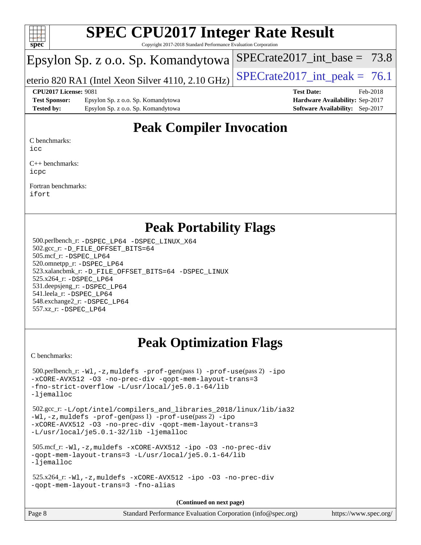![](_page_7_Picture_0.jpeg)

Copyright 2017-2018 Standard Performance Evaluation Corporation

### Epsylon Sp. z o.o. Sp. Komandytowa

eterio 820 RA1 (Intel Xeon Silver 4110, 2.10 GHz)  $\left|$  SPECrate 2017 int peak = 76.1

SPECrate2017 int\_base =  $73.8$ 

#### **[CPU2017 License:](http://www.spec.org/auto/cpu2017/Docs/result-fields.html#CPU2017License)** 9081 **[Test Date:](http://www.spec.org/auto/cpu2017/Docs/result-fields.html#TestDate)** Feb-2018

**[Test Sponsor:](http://www.spec.org/auto/cpu2017/Docs/result-fields.html#TestSponsor)** Epsylon Sp. z o.o. Sp. Komandytowa **[Hardware Availability:](http://www.spec.org/auto/cpu2017/Docs/result-fields.html#HardwareAvailability)** Sep-2017 **[Tested by:](http://www.spec.org/auto/cpu2017/Docs/result-fields.html#Testedby)** Epsylon Sp. z o.o. Sp. Komandytowa **[Software Availability:](http://www.spec.org/auto/cpu2017/Docs/result-fields.html#SoftwareAvailability)** Sep-2017

### **[Peak Compiler Invocation](http://www.spec.org/auto/cpu2017/Docs/result-fields.html#PeakCompilerInvocation)**

[C benchmarks:](http://www.spec.org/auto/cpu2017/Docs/result-fields.html#Cbenchmarks)

[icc](http://www.spec.org/cpu2017/results/res2018q1/cpu2017-20180216-03602.flags.html#user_CCpeak_intel_icc_18.0_66fc1ee009f7361af1fbd72ca7dcefbb700085f36577c54f309893dd4ec40d12360134090235512931783d35fd58c0460139e722d5067c5574d8eaf2b3e37e92)

[C++ benchmarks:](http://www.spec.org/auto/cpu2017/Docs/result-fields.html#CXXbenchmarks) [icpc](http://www.spec.org/cpu2017/results/res2018q1/cpu2017-20180216-03602.flags.html#user_CXXpeak_intel_icpc_18.0_c510b6838c7f56d33e37e94d029a35b4a7bccf4766a728ee175e80a419847e808290a9b78be685c44ab727ea267ec2f070ec5dc83b407c0218cded6866a35d07)

[Fortran benchmarks](http://www.spec.org/auto/cpu2017/Docs/result-fields.html#Fortranbenchmarks): [ifort](http://www.spec.org/cpu2017/results/res2018q1/cpu2017-20180216-03602.flags.html#user_FCpeak_intel_ifort_18.0_8111460550e3ca792625aed983ce982f94888b8b503583aa7ba2b8303487b4d8a21a13e7191a45c5fd58ff318f48f9492884d4413fa793fd88dd292cad7027ca)

### **[Peak Portability Flags](http://www.spec.org/auto/cpu2017/Docs/result-fields.html#PeakPortabilityFlags)**

 500.perlbench\_r: [-DSPEC\\_LP64](http://www.spec.org/cpu2017/results/res2018q1/cpu2017-20180216-03602.flags.html#b500.perlbench_r_peakPORTABILITY_DSPEC_LP64) [-DSPEC\\_LINUX\\_X64](http://www.spec.org/cpu2017/results/res2018q1/cpu2017-20180216-03602.flags.html#b500.perlbench_r_peakCPORTABILITY_DSPEC_LINUX_X64) 502.gcc\_r: [-D\\_FILE\\_OFFSET\\_BITS=64](http://www.spec.org/cpu2017/results/res2018q1/cpu2017-20180216-03602.flags.html#user_peakPORTABILITY502_gcc_r_file_offset_bits_64_5ae949a99b284ddf4e95728d47cb0843d81b2eb0e18bdfe74bbf0f61d0b064f4bda2f10ea5eb90e1dcab0e84dbc592acfc5018bc955c18609f94ddb8d550002c) 505.mcf\_r: [-DSPEC\\_LP64](http://www.spec.org/cpu2017/results/res2018q1/cpu2017-20180216-03602.flags.html#suite_peakPORTABILITY505_mcf_r_DSPEC_LP64) 520.omnetpp\_r: [-DSPEC\\_LP64](http://www.spec.org/cpu2017/results/res2018q1/cpu2017-20180216-03602.flags.html#suite_peakPORTABILITY520_omnetpp_r_DSPEC_LP64) 523.xalancbmk\_r: [-D\\_FILE\\_OFFSET\\_BITS=64](http://www.spec.org/cpu2017/results/res2018q1/cpu2017-20180216-03602.flags.html#user_peakPORTABILITY523_xalancbmk_r_file_offset_bits_64_5ae949a99b284ddf4e95728d47cb0843d81b2eb0e18bdfe74bbf0f61d0b064f4bda2f10ea5eb90e1dcab0e84dbc592acfc5018bc955c18609f94ddb8d550002c) [-DSPEC\\_LINUX](http://www.spec.org/cpu2017/results/res2018q1/cpu2017-20180216-03602.flags.html#b523.xalancbmk_r_peakCXXPORTABILITY_DSPEC_LINUX) 525.x264\_r: [-DSPEC\\_LP64](http://www.spec.org/cpu2017/results/res2018q1/cpu2017-20180216-03602.flags.html#suite_peakPORTABILITY525_x264_r_DSPEC_LP64) 531.deepsjeng\_r: [-DSPEC\\_LP64](http://www.spec.org/cpu2017/results/res2018q1/cpu2017-20180216-03602.flags.html#suite_peakPORTABILITY531_deepsjeng_r_DSPEC_LP64) 541.leela\_r: [-DSPEC\\_LP64](http://www.spec.org/cpu2017/results/res2018q1/cpu2017-20180216-03602.flags.html#suite_peakPORTABILITY541_leela_r_DSPEC_LP64) 548.exchange2\_r: [-DSPEC\\_LP64](http://www.spec.org/cpu2017/results/res2018q1/cpu2017-20180216-03602.flags.html#suite_peakPORTABILITY548_exchange2_r_DSPEC_LP64) 557.xz\_r: [-DSPEC\\_LP64](http://www.spec.org/cpu2017/results/res2018q1/cpu2017-20180216-03602.flags.html#suite_peakPORTABILITY557_xz_r_DSPEC_LP64)

### **[Peak Optimization Flags](http://www.spec.org/auto/cpu2017/Docs/result-fields.html#PeakOptimizationFlags)**

[C benchmarks](http://www.spec.org/auto/cpu2017/Docs/result-fields.html#Cbenchmarks):

```
 500.perlbench_r: -Wl,-z,muldefs -prof-gen(pass 1) -prof-use(pass 2) -ipo
-xCORE-AVX512 -O3 -no-prec-div -qopt-mem-layout-trans=3
-fno-strict-overflow -L/usr/local/je5.0.1-64/lib
-ljemalloc
 502.gcc_r: -L/opt/intel/compilers_and_libraries_2018/linux/lib/ia32
-Wl,-z,muldefs -prof-gen(pass 1) -prof-use(pass 2) -ipo
-xCORE-AVX512 -O3 -no-prec-div -qopt-mem-layout-trans=3
-L/usr/local/je5.0.1-32/lib -ljemalloc
 505.mcf_r: -Wl,-z,muldefs -xCORE-AVX512 -ipo -O3 -no-prec-div
-qopt-mem-layout-trans=3 -L/usr/local/je5.0.1-64/lib
-ljemalloc
 525.x264_r: -Wl,-z,muldefs -xCORE-AVX512 -ipo -O3 -no-prec-div
-qopt-mem-layout-trans=3 -fno-alias
                                     (Continued on next page)
```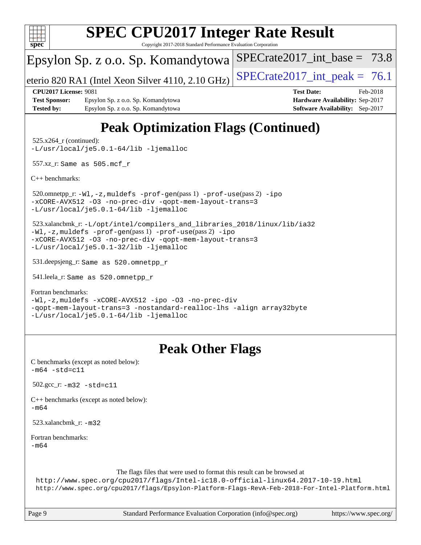![](_page_8_Picture_0.jpeg)

Copyright 2017-2018 Standard Performance Evaluation Corporation

### Epsylon Sp. z o.o. Sp. Komandytowa

eterio 820 RA1 (Intel Xeon Silver 4110, 2.10 GHz)  $\left|$  SPECrate 2017 int peak = 76.1

SPECrate2017 int\_base =  $73.8$ 

**[Test Sponsor:](http://www.spec.org/auto/cpu2017/Docs/result-fields.html#TestSponsor)** Epsylon Sp. z o.o. Sp. Komandytowa **[Hardware Availability:](http://www.spec.org/auto/cpu2017/Docs/result-fields.html#HardwareAvailability)** Sep-2017 **[Tested by:](http://www.spec.org/auto/cpu2017/Docs/result-fields.html#Testedby)** Epsylon Sp. z o.o. Sp. Komandytowa **[Software Availability:](http://www.spec.org/auto/cpu2017/Docs/result-fields.html#SoftwareAvailability)** Sep-2017

**[CPU2017 License:](http://www.spec.org/auto/cpu2017/Docs/result-fields.html#CPU2017License)** 9081 **[Test Date:](http://www.spec.org/auto/cpu2017/Docs/result-fields.html#TestDate)** Feb-2018

## **[Peak Optimization Flags \(Continued\)](http://www.spec.org/auto/cpu2017/Docs/result-fields.html#PeakOptimizationFlags)**

 525.x264\_r (continued): [-L/usr/local/je5.0.1-64/lib](http://www.spec.org/cpu2017/results/res2018q1/cpu2017-20180216-03602.flags.html#user_peakEXTRA_LIBS525_x264_r_jemalloc_link_path64_4b10a636b7bce113509b17f3bd0d6226c5fb2346b9178c2d0232c14f04ab830f976640479e5c33dc2bcbbdad86ecfb6634cbbd4418746f06f368b512fced5394) [-ljemalloc](http://www.spec.org/cpu2017/results/res2018q1/cpu2017-20180216-03602.flags.html#user_peakEXTRA_LIBS525_x264_r_jemalloc_link_lib_d1249b907c500fa1c0672f44f562e3d0f79738ae9e3c4a9c376d49f265a04b9c99b167ecedbf6711b3085be911c67ff61f150a17b3472be731631ba4d0471706)

557.xz\_r: Same as 505.mcf\_r

[C++ benchmarks:](http://www.spec.org/auto/cpu2017/Docs/result-fields.html#CXXbenchmarks)

 520.omnetpp\_r: [-Wl,-z,muldefs](http://www.spec.org/cpu2017/results/res2018q1/cpu2017-20180216-03602.flags.html#user_peakEXTRA_LDFLAGS520_omnetpp_r_link_force_multiple1_b4cbdb97b34bdee9ceefcfe54f4c8ea74255f0b02a4b23e853cdb0e18eb4525ac79b5a88067c842dd0ee6996c24547a27a4b99331201badda8798ef8a743f577) [-prof-gen](http://www.spec.org/cpu2017/results/res2018q1/cpu2017-20180216-03602.flags.html#user_peakPASS1_CXXFLAGSPASS1_LDFLAGS520_omnetpp_r_prof_gen_5aa4926d6013ddb2a31985c654b3eb18169fc0c6952a63635c234f711e6e63dd76e94ad52365559451ec499a2cdb89e4dc58ba4c67ef54ca681ffbe1461d6b36)(pass 1) [-prof-use](http://www.spec.org/cpu2017/results/res2018q1/cpu2017-20180216-03602.flags.html#user_peakPASS2_CXXFLAGSPASS2_LDFLAGS520_omnetpp_r_prof_use_1a21ceae95f36a2b53c25747139a6c16ca95bd9def2a207b4f0849963b97e94f5260e30a0c64f4bb623698870e679ca08317ef8150905d41bd88c6f78df73f19)(pass 2) [-ipo](http://www.spec.org/cpu2017/results/res2018q1/cpu2017-20180216-03602.flags.html#user_peakPASS1_CXXOPTIMIZEPASS2_CXXOPTIMIZE520_omnetpp_r_f-ipo) [-xCORE-AVX512](http://www.spec.org/cpu2017/results/res2018q1/cpu2017-20180216-03602.flags.html#user_peakPASS2_CXXOPTIMIZE520_omnetpp_r_f-xCORE-AVX512) [-O3](http://www.spec.org/cpu2017/results/res2018q1/cpu2017-20180216-03602.flags.html#user_peakPASS1_CXXOPTIMIZEPASS2_CXXOPTIMIZE520_omnetpp_r_f-O3) [-no-prec-div](http://www.spec.org/cpu2017/results/res2018q1/cpu2017-20180216-03602.flags.html#user_peakPASS1_CXXOPTIMIZEPASS2_CXXOPTIMIZE520_omnetpp_r_f-no-prec-div) [-qopt-mem-layout-trans=3](http://www.spec.org/cpu2017/results/res2018q1/cpu2017-20180216-03602.flags.html#user_peakPASS1_CXXOPTIMIZEPASS2_CXXOPTIMIZE520_omnetpp_r_f-qopt-mem-layout-trans_de80db37974c74b1f0e20d883f0b675c88c3b01e9d123adea9b28688d64333345fb62bc4a798493513fdb68f60282f9a726aa07f478b2f7113531aecce732043) [-L/usr/local/je5.0.1-64/lib](http://www.spec.org/cpu2017/results/res2018q1/cpu2017-20180216-03602.flags.html#user_peakEXTRA_LIBS520_omnetpp_r_jemalloc_link_path64_4b10a636b7bce113509b17f3bd0d6226c5fb2346b9178c2d0232c14f04ab830f976640479e5c33dc2bcbbdad86ecfb6634cbbd4418746f06f368b512fced5394) [-ljemalloc](http://www.spec.org/cpu2017/results/res2018q1/cpu2017-20180216-03602.flags.html#user_peakEXTRA_LIBS520_omnetpp_r_jemalloc_link_lib_d1249b907c500fa1c0672f44f562e3d0f79738ae9e3c4a9c376d49f265a04b9c99b167ecedbf6711b3085be911c67ff61f150a17b3472be731631ba4d0471706)

 523.xalancbmk\_r: [-L/opt/intel/compilers\\_and\\_libraries\\_2018/linux/lib/ia32](http://www.spec.org/cpu2017/results/res2018q1/cpu2017-20180216-03602.flags.html#user_peakCXXLD523_xalancbmk_r_Enable-32bit-runtime_af243bdb1d79e4c7a4f720bf8275e627de2ecd461de63307bc14cef0633fde3cd7bb2facb32dcc8be9566045fb55d40ce2b72b725f73827aa7833441b71b9343) [-Wl,-z,muldefs](http://www.spec.org/cpu2017/results/res2018q1/cpu2017-20180216-03602.flags.html#user_peakEXTRA_LDFLAGS523_xalancbmk_r_link_force_multiple1_b4cbdb97b34bdee9ceefcfe54f4c8ea74255f0b02a4b23e853cdb0e18eb4525ac79b5a88067c842dd0ee6996c24547a27a4b99331201badda8798ef8a743f577) [-prof-gen](http://www.spec.org/cpu2017/results/res2018q1/cpu2017-20180216-03602.flags.html#user_peakPASS1_CXXFLAGSPASS1_LDFLAGS523_xalancbmk_r_prof_gen_5aa4926d6013ddb2a31985c654b3eb18169fc0c6952a63635c234f711e6e63dd76e94ad52365559451ec499a2cdb89e4dc58ba4c67ef54ca681ffbe1461d6b36)(pass 1) [-prof-use](http://www.spec.org/cpu2017/results/res2018q1/cpu2017-20180216-03602.flags.html#user_peakPASS2_CXXFLAGSPASS2_LDFLAGS523_xalancbmk_r_prof_use_1a21ceae95f36a2b53c25747139a6c16ca95bd9def2a207b4f0849963b97e94f5260e30a0c64f4bb623698870e679ca08317ef8150905d41bd88c6f78df73f19)(pass 2) [-ipo](http://www.spec.org/cpu2017/results/res2018q1/cpu2017-20180216-03602.flags.html#user_peakPASS1_CXXOPTIMIZEPASS2_CXXOPTIMIZE523_xalancbmk_r_f-ipo) [-xCORE-AVX512](http://www.spec.org/cpu2017/results/res2018q1/cpu2017-20180216-03602.flags.html#user_peakPASS2_CXXOPTIMIZE523_xalancbmk_r_f-xCORE-AVX512) [-O3](http://www.spec.org/cpu2017/results/res2018q1/cpu2017-20180216-03602.flags.html#user_peakPASS1_CXXOPTIMIZEPASS2_CXXOPTIMIZE523_xalancbmk_r_f-O3) [-no-prec-div](http://www.spec.org/cpu2017/results/res2018q1/cpu2017-20180216-03602.flags.html#user_peakPASS1_CXXOPTIMIZEPASS2_CXXOPTIMIZE523_xalancbmk_r_f-no-prec-div) [-qopt-mem-layout-trans=3](http://www.spec.org/cpu2017/results/res2018q1/cpu2017-20180216-03602.flags.html#user_peakPASS1_CXXOPTIMIZEPASS2_CXXOPTIMIZE523_xalancbmk_r_f-qopt-mem-layout-trans_de80db37974c74b1f0e20d883f0b675c88c3b01e9d123adea9b28688d64333345fb62bc4a798493513fdb68f60282f9a726aa07f478b2f7113531aecce732043) [-L/usr/local/je5.0.1-32/lib](http://www.spec.org/cpu2017/results/res2018q1/cpu2017-20180216-03602.flags.html#user_peakEXTRA_LIBS523_xalancbmk_r_jemalloc_link_path32_e29f22e8e6c17053bbc6a0971f5a9c01a601a06bb1a59df2084b77a2fe0a2995b64fd4256feaeea39eeba3aae142e96e2b2b0a28974019c0c0c88139a84f900a) [-ljemalloc](http://www.spec.org/cpu2017/results/res2018q1/cpu2017-20180216-03602.flags.html#user_peakEXTRA_LIBS523_xalancbmk_r_jemalloc_link_lib_d1249b907c500fa1c0672f44f562e3d0f79738ae9e3c4a9c376d49f265a04b9c99b167ecedbf6711b3085be911c67ff61f150a17b3472be731631ba4d0471706)

531.deepsjeng\_r: Same as 520.omnetpp\_r

541.leela\_r: Same as 520.omnetpp\_r

[Fortran benchmarks](http://www.spec.org/auto/cpu2017/Docs/result-fields.html#Fortranbenchmarks):

[-Wl,-z,muldefs](http://www.spec.org/cpu2017/results/res2018q1/cpu2017-20180216-03602.flags.html#user_FCpeak_link_force_multiple1_b4cbdb97b34bdee9ceefcfe54f4c8ea74255f0b02a4b23e853cdb0e18eb4525ac79b5a88067c842dd0ee6996c24547a27a4b99331201badda8798ef8a743f577) [-xCORE-AVX512](http://www.spec.org/cpu2017/results/res2018q1/cpu2017-20180216-03602.flags.html#user_FCpeak_f-xCORE-AVX512) [-ipo](http://www.spec.org/cpu2017/results/res2018q1/cpu2017-20180216-03602.flags.html#user_FCpeak_f-ipo) [-O3](http://www.spec.org/cpu2017/results/res2018q1/cpu2017-20180216-03602.flags.html#user_FCpeak_f-O3) [-no-prec-div](http://www.spec.org/cpu2017/results/res2018q1/cpu2017-20180216-03602.flags.html#user_FCpeak_f-no-prec-div) [-qopt-mem-layout-trans=3](http://www.spec.org/cpu2017/results/res2018q1/cpu2017-20180216-03602.flags.html#user_FCpeak_f-qopt-mem-layout-trans_de80db37974c74b1f0e20d883f0b675c88c3b01e9d123adea9b28688d64333345fb62bc4a798493513fdb68f60282f9a726aa07f478b2f7113531aecce732043) [-nostandard-realloc-lhs](http://www.spec.org/cpu2017/results/res2018q1/cpu2017-20180216-03602.flags.html#user_FCpeak_f_2003_std_realloc_82b4557e90729c0f113870c07e44d33d6f5a304b4f63d4c15d2d0f1fab99f5daaed73bdb9275d9ae411527f28b936061aa8b9c8f2d63842963b95c9dd6426b8a) [-align array32byte](http://www.spec.org/cpu2017/results/res2018q1/cpu2017-20180216-03602.flags.html#user_FCpeak_align_array32byte_b982fe038af199962ba9a80c053b8342c548c85b40b8e86eb3cc33dee0d7986a4af373ac2d51c3f7cf710a18d62fdce2948f201cd044323541f22fc0fffc51b6) [-L/usr/local/je5.0.1-64/lib](http://www.spec.org/cpu2017/results/res2018q1/cpu2017-20180216-03602.flags.html#user_FCpeak_jemalloc_link_path64_4b10a636b7bce113509b17f3bd0d6226c5fb2346b9178c2d0232c14f04ab830f976640479e5c33dc2bcbbdad86ecfb6634cbbd4418746f06f368b512fced5394) [-ljemalloc](http://www.spec.org/cpu2017/results/res2018q1/cpu2017-20180216-03602.flags.html#user_FCpeak_jemalloc_link_lib_d1249b907c500fa1c0672f44f562e3d0f79738ae9e3c4a9c376d49f265a04b9c99b167ecedbf6711b3085be911c67ff61f150a17b3472be731631ba4d0471706)

### **[Peak Other Flags](http://www.spec.org/auto/cpu2017/Docs/result-fields.html#PeakOtherFlags)**

| C benchmarks (except as noted below):<br>$-m64 - std= c11$                                                                                                                                                                                                  |
|-------------------------------------------------------------------------------------------------------------------------------------------------------------------------------------------------------------------------------------------------------------|
| 502.gcc $r: -m32 - std = c11$                                                                                                                                                                                                                               |
| $C++$ benchmarks (except as noted below):<br>$-m64$                                                                                                                                                                                                         |
| 523.xalancbmk $r: -m32$                                                                                                                                                                                                                                     |
| Fortran benchmarks:<br>$-m64$                                                                                                                                                                                                                               |
| The flags files that were used to format this result can be browsed at<br>http://www.spec.org/cpu2017/flags/Intel-ic18.0-official-linux64.2017-10-19.html<br>http://www.spec.org/cpu2017/flags/Epsylon-Platform-Flags-RevA-Feb-2018-For-Intel-Platform.html |